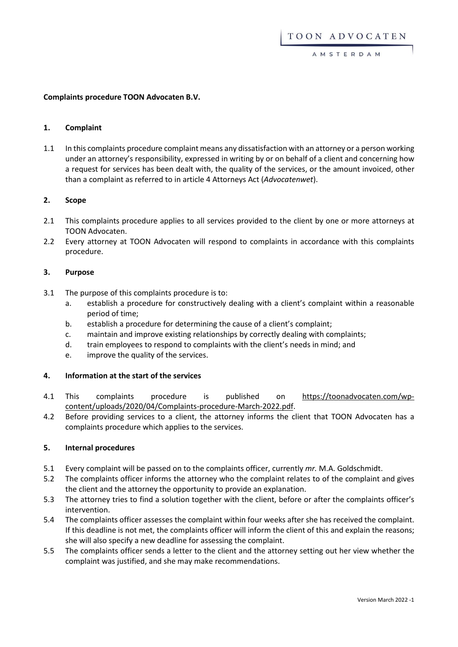AMSTERDAM

#### **Complaints procedure TOON Advocaten B.V.**

#### **1. Complaint**

1.1 In this complaints procedure complaint means any dissatisfaction with an attorney or a person working under an attorney's responsibility, expressed in writing by or on behalf of a client and concerning how a request for services has been dealt with, the quality of the services, or the amount invoiced, other than a complaint as referred to in article 4 Attorneys Act (*Advocatenwet*).

# **2. Scope**

- 2.1 This complaints procedure applies to all services provided to the client by one or more attorneys at TOON Advocaten.
- 2.2 Every attorney at TOON Advocaten will respond to complaints in accordance with this complaints procedure.

# **3. Purpose**

- 3.1 The purpose of this complaints procedure is to:
	- a. establish a procedure for constructively dealing with a client's complaint within a reasonable period of time;
	- b. establish a procedure for determining the cause of a client's complaint;
	- c. maintain and improve existing relationships by correctly dealing with complaints;
	- d. train employees to respond to complaints with the client's needs in mind; and
	- e. improve the quality of the services.

## **4. Information at the start of the services**

- 4.1 This complaints procedure is published on [https://toonadvocaten.com/wp](https://toonadvocaten.com/wp-content/uploads/2020/04/Complaints-procedure-March-2022.pdf)[content/uploads/2020/04/Complaints-procedure-March-2022.pdf.](https://toonadvocaten.com/wp-content/uploads/2020/04/Complaints-procedure-March-2022.pdf)
- 4.2 Before providing services to a client, the attorney informs the client that TOON Advocaten has a complaints procedure which applies to the services.

## **5. Internal procedures**

- 5.1 Every complaint will be passed on to the complaints officer, currently *mr.* M.A. Goldschmidt.
- 5.2 The complaints officer informs the attorney who the complaint relates to of the complaint and gives the client and the attorney the opportunity to provide an explanation.
- 5.3 The attorney tries to find a solution together with the client, before or after the complaints officer's intervention.
- 5.4 The complaints officer assesses the complaint within four weeks after she has received the complaint. If this deadline is not met, the complaints officer will inform the client of this and explain the reasons; she will also specify a new deadline for assessing the complaint.
- 5.5 The complaints officer sends a letter to the client and the attorney setting out her view whether the complaint was justified, and she may make recommendations.